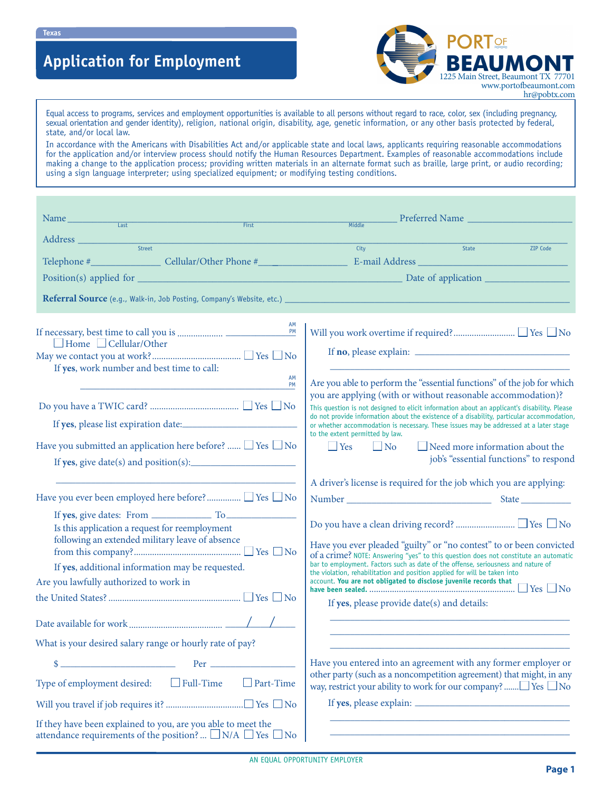# **Application for Employment**



Equal access to programs, services and employment opportunities is available to all persons without regard to race, color, sex (including pregnancy, sexual orientation and gender identity), religion, national origin, disability, age, genetic information, or any other basis protected by federal, state, and/or local law.

In accordance with the Americans with Disabilities Act and/or applicable state and local laws, applicants requiring reasonable accommodations for the application and/or interview process should notify the Human Resources Department. Examples of reasonable accommodations include making a change to the application process; providing written materials in an alternate format such as braille, large print, or audio recording; using a sign language interpreter; using specialized equipment; or modifying testing conditions.

| Name<br>First                                                                                                                                                                                   | Preferred Name<br><b>Middle</b>                                                                                                                                                                                                                                                                                                                                                                                                                                                                                  |
|-------------------------------------------------------------------------------------------------------------------------------------------------------------------------------------------------|------------------------------------------------------------------------------------------------------------------------------------------------------------------------------------------------------------------------------------------------------------------------------------------------------------------------------------------------------------------------------------------------------------------------------------------------------------------------------------------------------------------|
|                                                                                                                                                                                                 |                                                                                                                                                                                                                                                                                                                                                                                                                                                                                                                  |
|                                                                                                                                                                                                 | City<br>State and the state of the state<br><b>ZIP Code</b>                                                                                                                                                                                                                                                                                                                                                                                                                                                      |
|                                                                                                                                                                                                 |                                                                                                                                                                                                                                                                                                                                                                                                                                                                                                                  |
| Referral Source (e.g., Walk-in, Job Posting, Company's Website, etc.) ___________                                                                                                               |                                                                                                                                                                                                                                                                                                                                                                                                                                                                                                                  |
| AM<br>PM<br>$\Box$ Home $\Box$ Cellular/Other<br>If yes, work number and best time to call:<br>AM<br>PM                                                                                         | Are you able to perform the "essential functions" of the job for which                                                                                                                                                                                                                                                                                                                                                                                                                                           |
| Have you submitted an application here before? $\Box$ Yes $\Box$ No<br>If yes, give date(s) and position(s):                                                                                    | you are applying (with or without reasonable accommodation)?<br>This question is not designed to elicit information about an applicant's disability. Please<br>do not provide information about the existence of a disability, particular accommodation,<br>or whether accommodation is necessary. These issues may be addressed at a later stage<br>to the extent permitted by law.<br>$\blacksquare$ Yes $\blacksquare$ No<br>$\Box$ Need more information about the<br>job's "essential functions" to respond |
| Have you ever been employed here before? ∠ Yes ∠ No                                                                                                                                             | A driver's license is required for the job which you are applying:                                                                                                                                                                                                                                                                                                                                                                                                                                               |
| Is this application a request for reemployment<br>following an extended military leave of absence<br>If yes, additional information may be requested.<br>Are you lawfully authorized to work in | Have you ever pleaded "guilty" or "no contest" to or been convicted<br>of a crime? NOTE: Answering "yes" to this question does not constitute an automatic<br>bar to employment. Factors such as date of the offense, seriousness and nature of<br>the violation, rehabilitation and position applied for will be taken into<br>account. You are not obligated to disclose juvenile records that<br>If yes, please provide date(s) and details:                                                                  |
|                                                                                                                                                                                                 |                                                                                                                                                                                                                                                                                                                                                                                                                                                                                                                  |
| What is your desired salary range or hourly rate of pay?                                                                                                                                        |                                                                                                                                                                                                                                                                                                                                                                                                                                                                                                                  |
| $\Box$ Full-Time<br>Type of employment desired:<br>$\Box$ Part-Time                                                                                                                             | Have you entered into an agreement with any former employer or<br>other party (such as a noncompetition agreement) that might, in any                                                                                                                                                                                                                                                                                                                                                                            |
|                                                                                                                                                                                                 | way, restrict your ability to work for our company?  Yes □ No                                                                                                                                                                                                                                                                                                                                                                                                                                                    |
| If they have been explained to you, are you able to meet the<br>attendance requirements of the position? $\Box$ N/A $\Box$ Yes $\Box$ No                                                        | <u> 1989 - Johann Barn, amerikan besteman besteman besteman besteman besteman besteman besteman besteman besteman</u>                                                                                                                                                                                                                                                                                                                                                                                            |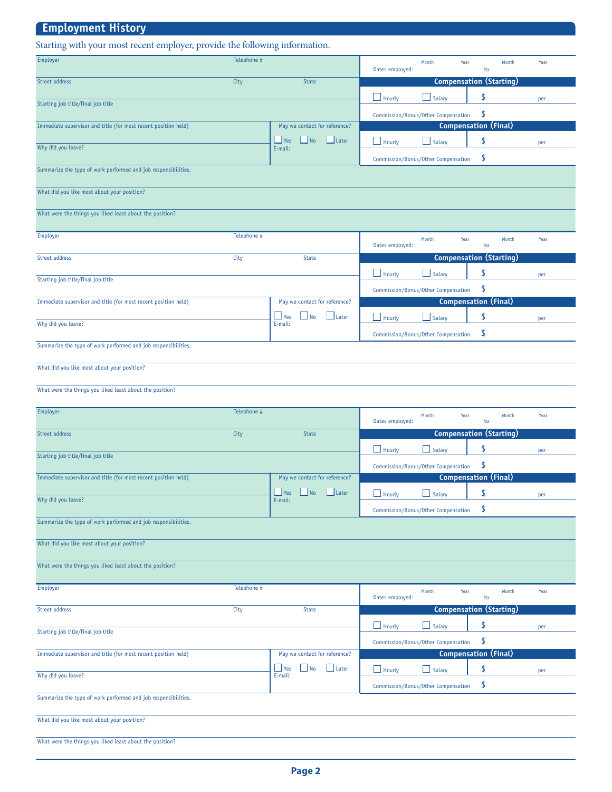| <b>Employment History</b>                                                   |             |                                                                        |                                                                          |  |
|-----------------------------------------------------------------------------|-------------|------------------------------------------------------------------------|--------------------------------------------------------------------------|--|
| Starting with your most recent employer, provide the following information. |             |                                                                        |                                                                          |  |
| Employer                                                                    | Telephone # |                                                                        | Month<br>Year<br>Month<br>Year<br>Dates employed:<br>to                  |  |
| Street address                                                              | City        | State                                                                  | <b>Compensation (Starting)</b>                                           |  |
| Starting job title/final job title                                          |             |                                                                        | \$<br>$\Box$ Hourly<br>$\Box$ Salary<br>per                              |  |
|                                                                             |             |                                                                        | \$<br>Commission/Bonus/Other Compensation                                |  |
| Immediate supervisor and title (for most recent position held)              |             | May we contact for reference?                                          | <b>Compensation (Final)</b>                                              |  |
| Why did you leave?                                                          |             | $\Box$ No<br>$\Box$ Yes<br>$L$ Later<br>E-mail:                        | \$<br>$\Box$ Hourly<br>Salary<br>per                                     |  |
|                                                                             |             |                                                                        | \$<br>Commission/Bonus/Other Compensation                                |  |
| Summarize the type of work performed and job responsibilities.              |             |                                                                        |                                                                          |  |
| What did you like most about your position?                                 |             |                                                                        |                                                                          |  |
| What were the things you liked least about the position?                    |             |                                                                        |                                                                          |  |
| Employer                                                                    | Telephone # |                                                                        | Month<br>Month<br>Year<br>Year<br>Dates employed:<br>to                  |  |
| Street address                                                              | City        | <b>State</b>                                                           | <b>Compensation (Starting)</b>                                           |  |
| Starting job title/final job title                                          |             |                                                                        | \$<br>$\Box$ Hourly<br>Salary<br>per                                     |  |
|                                                                             |             |                                                                        | \$<br>Commission/Bonus/Other Compensation                                |  |
| Immediate supervisor and title (for most recent position held)              |             | May we contact for reference?                                          | <b>Compensation (Final)</b>                                              |  |
| Why did you leave?                                                          |             | $\Box$ Later<br>$\Box$ Yes<br>$\blacksquare$ No<br>E-mail:             | \$<br>$\Box$ Hourly<br>Salary<br>per                                     |  |
|                                                                             |             |                                                                        | \$<br>Commission/Bonus/Other Compensation                                |  |
| Summarize the type of work performed and job responsibilities.              |             |                                                                        |                                                                          |  |
| What did you like most about your position?                                 |             |                                                                        |                                                                          |  |
| What were the things you liked least about the position?                    |             |                                                                        |                                                                          |  |
| Employer                                                                    | Telephone # |                                                                        |                                                                          |  |
|                                                                             |             |                                                                        | Year<br>Month<br>Year<br>Month<br>Dates employed:<br>to                  |  |
| Street address                                                              | City        | <b>State</b>                                                           | <b>Compensation (Starting)</b>                                           |  |
| Starting job title/final job title                                          |             |                                                                        | \$<br>Hourly<br>Salary<br>per                                            |  |
|                                                                             |             |                                                                        | \$<br>Commission/Bonus/Other Compensation<br><b>Compensation (Final)</b> |  |
| Immediate supervisor and title (for most recent position held)              |             | May we contact for reference?<br>$\blacksquare$ No<br>Yes<br>$L$ Later | \$                                                                       |  |
| Why did you leave?                                                          |             | E-mail:                                                                | $\Box$ Hourly<br>$\Box$ Salary<br>per                                    |  |
| Summarize the type of work performed and job responsibilities.              |             |                                                                        | \$<br>Commission/Bonus/Other Compensation                                |  |
|                                                                             |             |                                                                        |                                                                          |  |
| What did you like most about your position?                                 |             |                                                                        |                                                                          |  |
| What were the things you liked least about the position?                    |             |                                                                        |                                                                          |  |
| Employer                                                                    | Telephone # |                                                                        | Month<br>Year<br>Month<br>Year                                           |  |
| Street address                                                              | City        | <b>State</b>                                                           | Dates employed:<br>to<br><b>Compensation (Starting)</b>                  |  |
|                                                                             |             |                                                                        | \$<br>$\Box$ Hourly<br>$\Box$ Salary                                     |  |
| Starting job title/final job title                                          |             |                                                                        | per<br>\$                                                                |  |
| Immediate supervisor and title (for most recent position held)              |             | May we contact for reference?                                          | Commission/Bonus/Other Compensation<br><b>Compensation (Final)</b>       |  |
|                                                                             |             | $\Box$ No<br>$\Box$ Later<br>$\Box$ Yes                                | \$<br>$\Box$ Hourly<br>$\Box$ Salary<br>per                              |  |
| Why did you leave?                                                          |             | E-mail:                                                                | \$<br>Commission/Bonus/Other Compensation                                |  |
| Summarize the type of work performed and job responsibilities.              |             |                                                                        |                                                                          |  |
| What did you like most about your position?                                 |             |                                                                        |                                                                          |  |
|                                                                             |             |                                                                        |                                                                          |  |
| What were the things you liked least about the position?                    |             |                                                                        |                                                                          |  |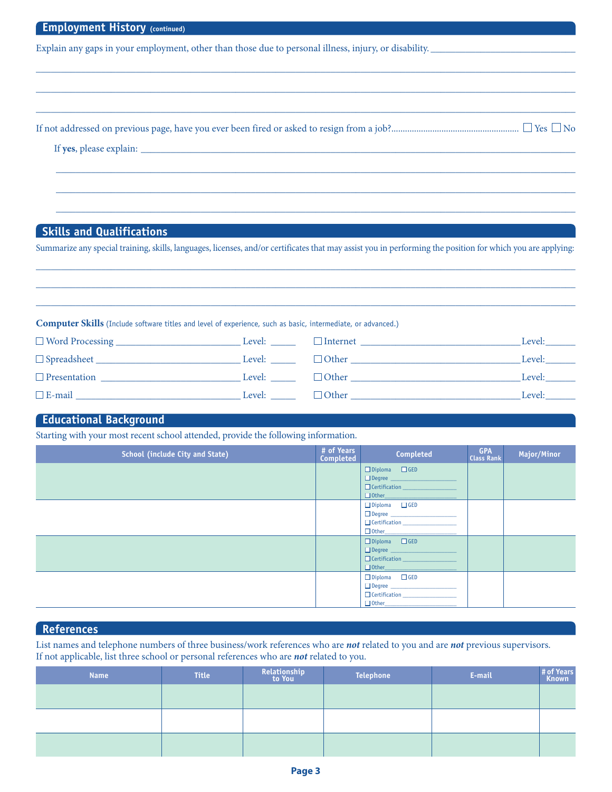| <b>Employment History (continued)</b>                                                                                                                       |
|-------------------------------------------------------------------------------------------------------------------------------------------------------------|
| Explain any gaps in your employment, other than those due to personal illness, injury, or disability.                                                       |
|                                                                                                                                                             |
|                                                                                                                                                             |
|                                                                                                                                                             |
|                                                                                                                                                             |
|                                                                                                                                                             |
|                                                                                                                                                             |
|                                                                                                                                                             |
|                                                                                                                                                             |
|                                                                                                                                                             |
| <b>Skills and Qualifications</b>                                                                                                                            |
| Summarize any special training, skills, languages, licenses, and/or certificates that may assist you in performing the position for which you are applying: |

**Computer Skills** (Include software titles and level of experience, such as basic, intermediate, or advanced.)

| $\Box$ Word Processing $\Box$ | Level: | $\Box$ Internet | Level: |
|-------------------------------|--------|-----------------|--------|
| $\Box$ Spreadsheet $\Box$     | Level: | $\Box$ Other    | Level: |
| $\Box$ Presentation           | Level: | $\Box$ Other    | Level: |
| $E$ -mail                     | Level: | $\Box$ Other    | Level: |

\_\_\_\_\_\_\_\_\_\_\_\_\_\_\_\_\_\_\_\_\_\_\_\_\_\_\_\_\_\_\_\_\_\_\_\_\_\_\_\_\_\_\_\_\_\_\_\_\_\_\_\_\_\_\_\_\_\_\_\_\_\_\_\_\_\_\_\_\_\_\_\_\_\_\_\_\_\_\_\_\_\_\_\_\_\_\_\_\_\_\_\_\_\_\_\_\_\_\_\_\_\_\_\_\_\_\_\_ \_\_\_\_\_\_\_\_\_\_\_\_\_\_\_\_\_\_\_\_\_\_\_\_\_\_\_\_\_\_\_\_\_\_\_\_\_\_\_\_\_\_\_\_\_\_\_\_\_\_\_\_\_\_\_\_\_\_\_\_\_\_\_\_\_\_\_\_\_\_\_\_\_\_\_\_\_\_\_\_\_\_\_\_\_\_\_\_\_\_\_\_\_\_\_\_\_\_\_\_\_\_\_\_\_\_\_\_ \_\_\_\_\_\_\_\_\_\_\_\_\_\_\_\_\_\_\_\_\_\_\_\_\_\_\_\_\_\_\_\_\_\_\_\_\_\_\_\_\_\_\_\_\_\_\_\_\_\_\_\_\_\_\_\_\_\_\_\_\_\_\_\_\_\_\_\_\_\_\_\_\_\_\_\_\_\_\_\_\_\_\_\_\_\_\_\_\_\_\_\_\_\_\_\_\_\_\_\_\_\_\_\_\_\_\_\_

## **Educational Background**

Starting with your most recent school attended, provide the following information.

| <b>School (include City and State)</b> | # of Years<br>Completed | Completed                                                                                                           | <b>GPA</b><br><b>Class Rank</b> | Major/Minor |
|----------------------------------------|-------------------------|---------------------------------------------------------------------------------------------------------------------|---------------------------------|-------------|
|                                        |                         | $\Box$ Diploma $\Box$ GED<br>□ Degree<br>Certification _______________                                              |                                 |             |
|                                        |                         | $\square$ Diploma $\square$ GED<br>Degree ___________________<br>$\Box$ Other                                       |                                 |             |
|                                        |                         | $\Box$ Diploma $\Box$ GED<br>Degree ____________________<br>Certification __________________<br>$\Box$ Other $\Box$ |                                 |             |
|                                        |                         | $\square$ Diploma $\square$ GED<br>Degree __________________<br>Certification<br>$\Box$ Other                       |                                 |             |

## **References**

List names and telephone numbers of three business/work references who are *not* related to you and are *not* previous supervisors. If not applicable, list three school or personal references who are *not* related to you.

| <b>Name</b> | <b>Title</b> | Relationship<br>to You | Telephone | E-mail | # of Years<br>Known |
|-------------|--------------|------------------------|-----------|--------|---------------------|
|             |              |                        |           |        |                     |
|             |              |                        |           |        |                     |
|             |              |                        |           |        |                     |
|             |              |                        |           |        |                     |